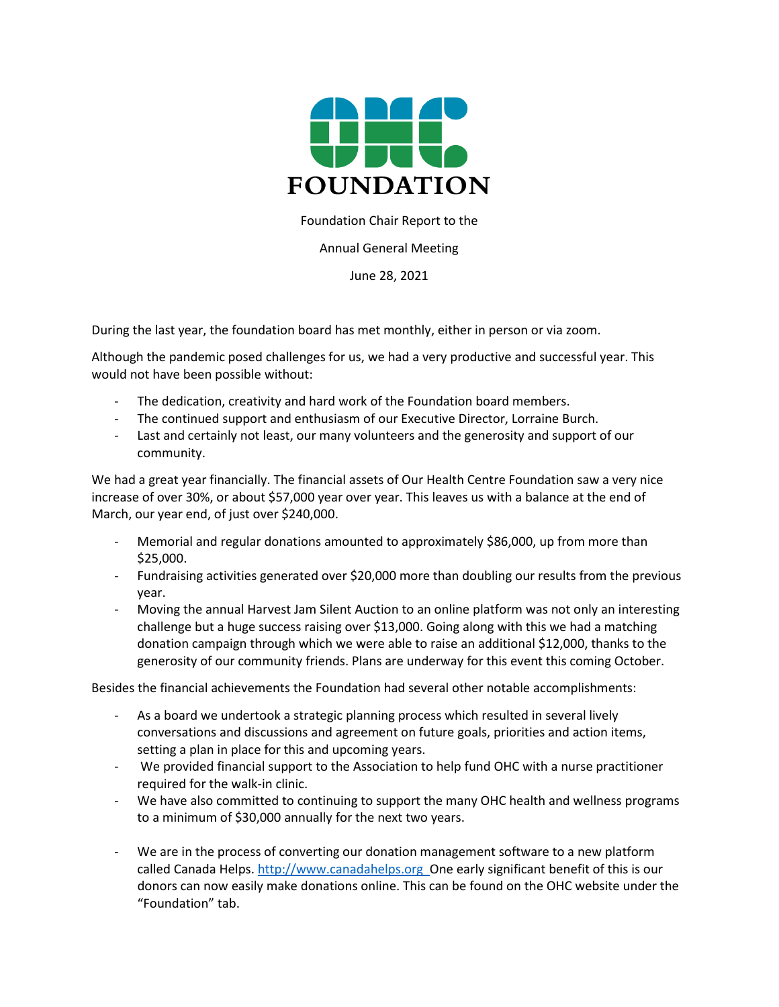

Foundation Chair Report to the

Annual General Meeting

June 28, 2021

During the last year, the foundation board has met monthly, either in person or via zoom.

Although the pandemic posed challenges for us, we had a very productive and successful year. This would not have been possible without:

- The dedication, creativity and hard work of the Foundation board members.
- The continued support and enthusiasm of our Executive Director, Lorraine Burch.
- Last and certainly not least, our many volunteers and the generosity and support of our community.

We had a great year financially. The financial assets of Our Health Centre Foundation saw a very nice increase of over 30%, or about \$57,000 year over year. This leaves us with a balance at the end of March, our year end, of just over \$240,000.

- Memorial and regular donations amounted to approximately \$86,000, up from more than \$25,000.
- Fundraising activities generated over \$20,000 more than doubling our results from the previous year.
- Moving the annual Harvest Jam Silent Auction to an online platform was not only an interesting challenge but a huge success raising over \$13,000. Going along with this we had a matching donation campaign through which we were able to raise an additional \$12,000, thanks to the generosity of our community friends. Plans are underway for this event this coming October.

Besides the financial achievements the Foundation had several other notable accomplishments:

- As a board we undertook a strategic planning process which resulted in several lively conversations and discussions and agreement on future goals, priorities and action items, setting a plan in place for this and upcoming years.
- We provided financial support to the Association to help fund OHC with a nurse practitioner required for the walk-in clinic.
- We have also committed to continuing to support the many OHC health and wellness programs to a minimum of \$30,000 annually for the next two years.
- We are in the process of converting our donation management software to a new platform called Canada Helps[. http://www.canadahelps.org](http://www.canadahelps.org/) One early significant benefit of this is our donors can now easily make donations online. This can be found on the OHC website under the "Foundation" tab.